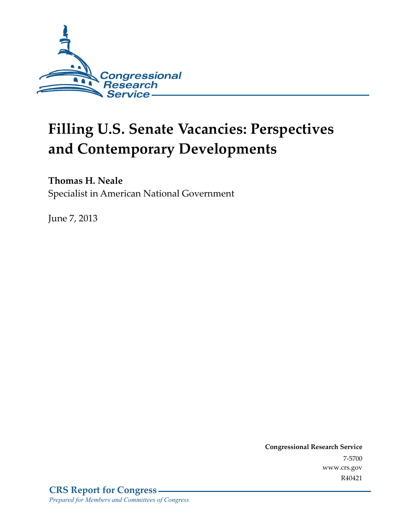

# **Filling U.S. Senate Vacancies: Perspectives and Contemporary Developments**

### **Thomas H. Neale**

Specialist in American National Government

June 7, 2013

**Congressional Research Service**  7-5700 www.crs.gov R40421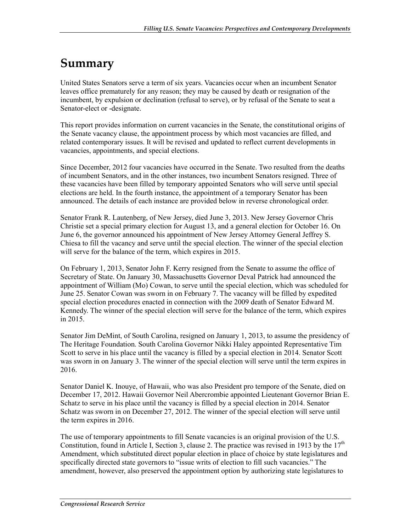## **Summary**

United States Senators serve a term of six years. Vacancies occur when an incumbent Senator leaves office prematurely for any reason; they may be caused by death or resignation of the incumbent, by expulsion or declination (refusal to serve), or by refusal of the Senate to seat a Senator-elect or -designate.

This report provides information on current vacancies in the Senate, the constitutional origins of the Senate vacancy clause, the appointment process by which most vacancies are filled, and related contemporary issues. It will be revised and updated to reflect current developments in vacancies, appointments, and special elections.

Since December, 2012 four vacancies have occurred in the Senate. Two resulted from the deaths of incumbent Senators, and in the other instances, two incumbent Senators resigned. Three of these vacancies have been filled by temporary appointed Senators who will serve until special elections are held. In the fourth instance, the appointment of a temporary Senator has been announced. The details of each instance are provided below in reverse chronological order.

Senator Frank R. Lautenberg, of New Jersey, died June 3, 2013. New Jersey Governor Chris Christie set a special primary election for August 13, and a general election for October 16. On June 6, the governor announced his appointment of New Jersey Attorney General Jeffrey S. Chiesa to fill the vacancy and serve until the special election. The winner of the special election will serve for the balance of the term, which expires in 2015.

On February 1, 2013, Senator John F. Kerry resigned from the Senate to assume the office of Secretary of State. On January 30, Massachusetts Governor Deval Patrick had announced the appointment of William (Mo) Cowan, to serve until the special election, which was scheduled for June 25. Senator Cowan was sworn in on February 7. The vacancy will be filled by expedited special election procedures enacted in connection with the 2009 death of Senator Edward M. Kennedy. The winner of the special election will serve for the balance of the term, which expires in 2015.

Senator Jim DeMint, of South Carolina, resigned on January 1, 2013, to assume the presidency of The Heritage Foundation. South Carolina Governor Nikki Haley appointed Representative Tim Scott to serve in his place until the vacancy is filled by a special election in 2014. Senator Scott was sworn in on January 3. The winner of the special election will serve until the term expires in 2016.

Senator Daniel K. Inouye, of Hawaii, who was also President pro tempore of the Senate, died on December 17, 2012. Hawaii Governor Neil Abercrombie appointed Lieutenant Governor Brian E. Schatz to serve in his place until the vacancy is filled by a special election in 2014. Senator Schatz was sworn in on December 27, 2012. The winner of the special election will serve until the term expires in 2016.

The use of temporary appointments to fill Senate vacancies is an original provision of the U.S. Constitution, found in Article I, Section 3, clause 2. The practice was revised in 1913 by the  $17<sup>th</sup>$ Amendment, which substituted direct popular election in place of choice by state legislatures and specifically directed state governors to "issue writs of election to fill such vacancies." The amendment, however, also preserved the appointment option by authorizing state legislatures to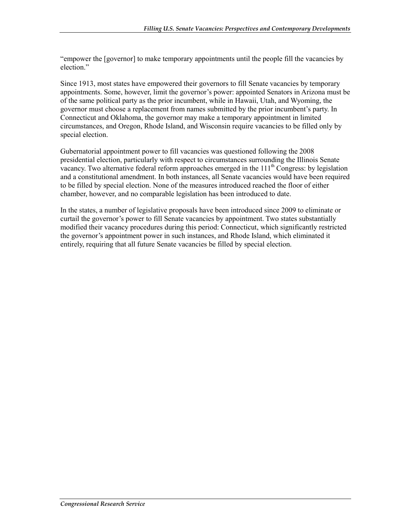"empower the [governor] to make temporary appointments until the people fill the vacancies by election."

Since 1913, most states have empowered their governors to fill Senate vacancies by temporary appointments. Some, however, limit the governor's power: appointed Senators in Arizona must be of the same political party as the prior incumbent, while in Hawaii, Utah, and Wyoming, the governor must choose a replacement from names submitted by the prior incumbent's party. In Connecticut and Oklahoma, the governor may make a temporary appointment in limited circumstances, and Oregon, Rhode Island, and Wisconsin require vacancies to be filled only by special election.

Gubernatorial appointment power to fill vacancies was questioned following the 2008 presidential election, particularly with respect to circumstances surrounding the Illinois Senate vacancy. Two alternative federal reform approaches emerged in the  $111<sup>th</sup>$  Congress: by legislation and a constitutional amendment. In both instances, all Senate vacancies would have been required to be filled by special election. None of the measures introduced reached the floor of either chamber, however, and no comparable legislation has been introduced to date.

In the states, a number of legislative proposals have been introduced since 2009 to eliminate or curtail the governor's power to fill Senate vacancies by appointment. Two states substantially modified their vacancy procedures during this period: Connecticut, which significantly restricted the governor's appointment power in such instances, and Rhode Island, which eliminated it entirely, requiring that all future Senate vacancies be filled by special election.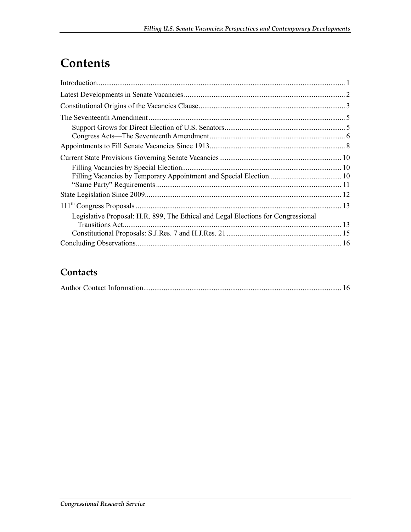## **Contents**

| Legislative Proposal: H.R. 899, The Ethical and Legal Elections for Congressional |  |
|-----------------------------------------------------------------------------------|--|
| Transitions Act.                                                                  |  |
|                                                                                   |  |
|                                                                                   |  |

### **Contacts**

|--|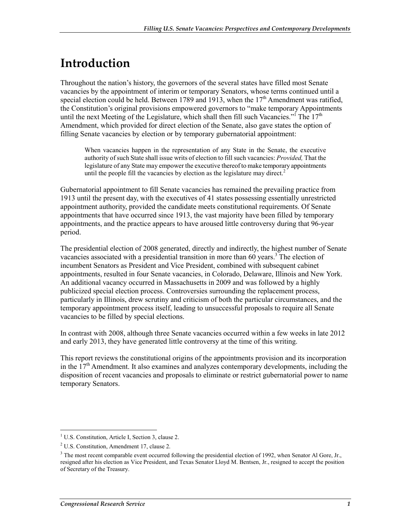## **Introduction**

Throughout the nation's history, the governors of the several states have filled most Senate vacancies by the appointment of interim or temporary Senators, whose terms continued until a special election could be held. Between 1789 and 1913, when the  $17<sup>th</sup>$  Amendment was ratified, the Constitution's original provisions empowered governors to "make temporary Appointments until the next Meeting of the Legislature, which shall then fill such Vacancies."<sup>I</sup> The  $17<sup>th</sup>$ Amendment, which provided for direct election of the Senate, also gave states the option of filling Senate vacancies by election or by temporary gubernatorial appointment:

When vacancies happen in the representation of any State in the Senate, the executive authority of such State shall issue writs of election to fill such vacancies: *Provided,* That the legislature of any State may empower the executive thereof to make temporary appointments until the people fill the vacancies by election as the legislature may direct.<sup>2</sup>

Gubernatorial appointment to fill Senate vacancies has remained the prevailing practice from 1913 until the present day, with the executives of 41 states possessing essentially unrestricted appointment authority, provided the candidate meets constitutional requirements. Of Senate appointments that have occurred since 1913, the vast majority have been filled by temporary appointments, and the practice appears to have aroused little controversy during that 96-year period.

The presidential election of 2008 generated, directly and indirectly, the highest number of Senate vacancies associated with a presidential transition in more than 60 years.<sup>3</sup> The election of incumbent Senators as President and Vice President, combined with subsequent cabinet appointments, resulted in four Senate vacancies, in Colorado, Delaware, Illinois and New York. An additional vacancy occurred in Massachusetts in 2009 and was followed by a highly publicized special election process. Controversies surrounding the replacement process, particularly in Illinois, drew scrutiny and criticism of both the particular circumstances, and the temporary appointment process itself, leading to unsuccessful proposals to require all Senate vacancies to be filled by special elections.

In contrast with 2008, although three Senate vacancies occurred within a few weeks in late 2012 and early 2013, they have generated little controversy at the time of this writing.

This report reviews the constitutional origins of the appointments provision and its incorporation in the  $17<sup>th</sup>$  Amendment. It also examines and analyzes contemporary developments, including the disposition of recent vacancies and proposals to eliminate or restrict gubernatorial power to name temporary Senators.

<sup>&</sup>lt;sup>1</sup> U.S. Constitution, Article I, Section 3, clause 2.

<sup>&</sup>lt;sup>2</sup> U.S. Constitution, Amendment 17, clause 2.

<sup>&</sup>lt;sup>3</sup> The most recent comparable event occurred following the presidential election of 1992, when Senator Al Gore, Jr., resigned after his election as Vice President, and Texas Senator Lloyd M. Bentsen, Jr., resigned to accept the position of Secretary of the Treasury.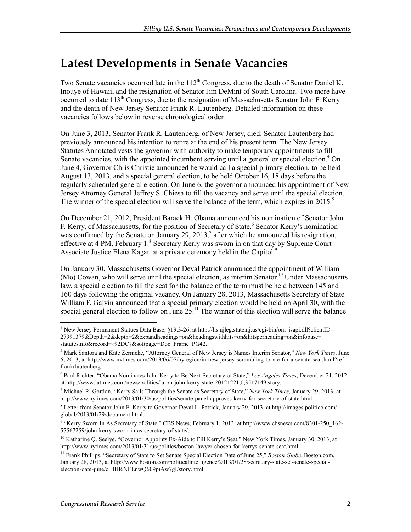### **Latest Developments in Senate Vacancies**

Two Senate vacancies occurred late in the  $112<sup>th</sup>$  Congress, due to the death of Senator Daniel K. Inouye of Hawaii, and the resignation of Senator Jim DeMint of South Carolina. Two more have occurred to date  $113<sup>th</sup>$  Congress, due to the resignation of Massachusetts Senator John F. Kerry and the death of New Jersey Senator Frank R. Lautenberg. Detailed information on these vacancies follows below in reverse chronological order.

On June 3, 2013, Senator Frank R. Lautenberg, of New Jersey, died. Senator Lautenberg had previously announced his intention to retire at the end of his present term. The New Jersey Statutes Annotated vests the governor with authority to make temporary appointments to fill Senate vacancies, with the appointed incumbent serving until a general or special election.<sup>4</sup> On June 4, Governor Chris Christie announced he would call a special primary election, to be held August 13, 2013, and a special general election, to be held October 16, 18 days before the regularly scheduled general election. On June 6, the governor announced his appointment of New Jersey Attorney General Jeffrey S. Chiesa to fill the vacancy and serve until the special election. The winner of the special election will serve the balance of the term, which expires in  $2015$ .<sup>5</sup>

On December 21, 2012, President Barack H. Obama announced his nomination of Senator John F. Kerry, of Massachusetts, for the position of Secretary of State.<sup>6</sup> Senator Kerry's nomination was confirmed by the Senate on January 29, 2013,<sup>7</sup> after which he announced his resignation, effective at 4 PM, February 1.<sup>8</sup> Secretary Kerry was sworn in on that day by Supreme Court Associate Justice Elena Kagan at a private ceremony held in the Capitol.<sup>9</sup>

On January 30, Massachusetts Governor Deval Patrick announced the appointment of William (Mo) Cowan, who will serve until the special election, as interim Senator.<sup>10</sup> Under Massachusetts law, a special election to fill the seat for the balance of the term must be held between 145 and 160 days following the original vacancy. On January 28, 2013, Massachusetts Secretary of State William F. Galvin announced that a special primary election would be held on April 30, with the special general election to follow on June  $2\bar{5}^{11}$ . The winner of this election will serve the balance

<u>.</u>

<sup>4</sup> New Jersey Permanent Statues Data Base, §19:3-26, at http://lis.njleg.state.nj.us/cgi-bin/om\_isapi.dll?clientID= 27991379&Depth=2&depth=2&expandheadings=on&headingswithhits=on&hitsperheading=on&infobase= statutes.nfo&record={92DC}&softpage=Doc\_Frame\_PG42.

<sup>5</sup> Mark Santora and Kate Zernicke, "Attorney General of New Jersey is Names Interim Senator," *New York Times*, June 6, 2013, at http://www.nytimes.com/2013/06/07/nyregion/in-new-jersey-scrambling-to-vie-for-a-senate-seat.html?ref= frankrlautenberg.

<sup>6</sup> Paul Richter, "Obama Nominates John Kerry to Be Next Secretary of State," *Los Angeles Times*, December 21, 2012, at http://www.latimes.com/news/politics/la-pn-john-kerry-state-20121221,0,3517149.story.

<sup>7</sup> Michael R. Gordon, "Kerry Sails Through the Senate as Secretary of State," *New York Times*, January 29, 2013, at http://www.nytimes.com/2013/01/30/us/politics/senate-panel-approves-kerry-for-secretary-of-state.html.

<sup>8</sup> Letter from Senator John F. Kerry to Governor Deval L. Patrick, January 29, 2013, at http://images.politico.com/ global/2013/01/29/document.html.

<sup>9</sup> "Kerry Sworn In As Secretary of State," CBS News, February 1, 2013, at http://www.cbsnews.com/8301-250\_162- 57567259/john-kerry-sworn-in-as-secretary-of-state/.

<sup>&</sup>lt;sup>10</sup> Katharine Q. Seelye, "Governor Appoints Ex-Aide to Fill Kerry's Seat," New York Times, January 30, 2013, at http://www.nytimes.com/2013/01/31/us/politics/boston-lawyer-chosen-for-kerrys-senate-seat.html.

<sup>&</sup>lt;sup>11</sup> Frank Phillips, "Secretary of State to Set Senate Special Election Date of June 25," Boston Globe, Boston.com, January 28, 2013, at http://www.boston.com/politicalintelligence/2013/01/28/secretary-state-set-senate-specialelection-date-june/clHHl6NFLnwQ609piAw7gI/story.html.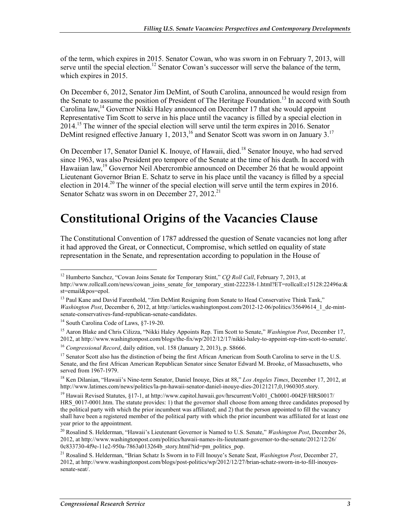of the term, which expires in 2015. Senator Cowan, who was sworn in on February 7, 2013, will serve until the special election.<sup>12</sup> Senator Cowan's successor will serve the balance of the term, which expires in 2015.

On December 6, 2012, Senator Jim DeMint, of South Carolina, announced he would resign from the Senate to assume the position of President of The Heritage Foundation.<sup>13</sup> In accord with South Carolina law,<sup>14</sup> Governor Nikki Haley announced on December 17 that she would appoint Representative Tim Scott to serve in his place until the vacancy is filled by a special election in  $2014<sup>15</sup>$  The winner of the special election will serve until the term expires in  $2016$ . Senator DeMint resigned effective January 1, 2013,<sup>16</sup> and Senator Scott was sworn in on January 3.<sup>17</sup>

On December 17, Senator Daniel K. Inouye, of Hawaii, died.<sup>18</sup> Senator Inouye, who had served since 1963, was also President pro tempore of the Senate at the time of his death. In accord with Hawaiian law,<sup>19</sup> Governor Neil Abercrombie announced on December 26 that he would appoint Lieutenant Governor Brian E. Schatz to serve in his place until the vacancy is filled by a special election in 2014.<sup>20</sup> The winner of the special election will serve until the term expires in 2016. Senator Schatz was sworn in on December 27, 2012.<sup>21</sup>

## **Constitutional Origins of the Vacancies Clause**

The Constitutional Convention of 1787 addressed the question of Senate vacancies not long after it had approved the Great, or Connecticut, Compromise, which settled on equality of state representation in the Senate, and representation according to population in the House of

<sup>1</sup> <sup>12</sup> Humberto Sanchez, "Cowan Joins Senate for Temporary Stint," *CQ Roll Call*, February 7, 2013, at http://www.rollcall.com/news/cowan\_joins\_senate\_for\_temporary\_stint-222238-1.html?ET=rollcall:e15128:22496a:& st=email&pos=epol.

<sup>&</sup>lt;sup>13</sup> Paul Kane and David Farenthold, "Jim DeMint Resigning from Senate to Head Conservative Think Tank," *Washington Post*, December 6, 2012, at http://articles.washingtonpost.com/2012-12-06/politics/35649614\_1\_de-mintsenate-conservatives-fund-republican-senate-candidates.

<sup>&</sup>lt;sup>14</sup> South Carolina Code of Laws, §7-19-20.

<sup>15</sup> Aaron Blake and Chris Cilizza, "Nikki Haley Appoints Rep. Tim Scott to Senate," *Washington Post*, December 17, 2012, at http://www.washingtonpost.com/blogs/the-fix/wp/2012/12/17/nikki-haley-to-appoint-rep-tim-scott-to-senate/.

<sup>16</sup> *Congressional Record*, daily edition, vol. 158 (January 2, 2013), p. S8666.

<sup>&</sup>lt;sup>17</sup> Senator Scott also has the distinction of being the first African American from South Carolina to serve in the U.S. Senate, and the first African American Republican Senator since Senator Edward M. Brooke, of Massachusetts, who served from 1967-1979.

<sup>18</sup> Ken Dilanian, "Hawaii's Nine-term Senator, Daniel Inouye, Dies at 88," *Los Angeles Times*, December 17, 2012, at http://www.latimes.com/news/politics/la-pn-hawaii-senator-daniel-inouye-dies-20121217,0,1960305.story.

<sup>&</sup>lt;sup>19</sup> Hawaii Revised Statutes, §17-1, at http://www.capitol.hawaii.gov/hrscurrent/Vol01\_Ch0001-0042F/HRS0017/ HRS  $0017-0001$ .htm. The statute provides: 1) that the governor shall choose from among three candidates proposed by the political party with which the prior incumbent was affiliated; and 2) that the person appointed to fill the vacancy shall have been a registered member of the political party with which the prior incumbent was affiliated for at least one year prior to the appointment.

<sup>20</sup> Rosalind S. Helderman, "Hawaii's Lieutenant Governor is Named to U.S. Senate," *Washington Post*, December 26, 2012, at http://www.washingtonpost.com/politics/hawaii-names-its-lieutenant-governor-to-the-senate/2012/12/26/ 0c833730-4f9e-11e2-950a-7863a013264b\_story.html?tid=pm\_politics\_pop.

<sup>21</sup> Rosalind S. Helderman, "Brian Schatz Is Sworn in to Fill Inouye's Senate Seat, *Washington Post*, December 27, 2012, at http://www.washingtonpost.com/blogs/post-politics/wp/2012/12/27/brian-schatz-sworn-in-to-fill-inouyessenate-seat/.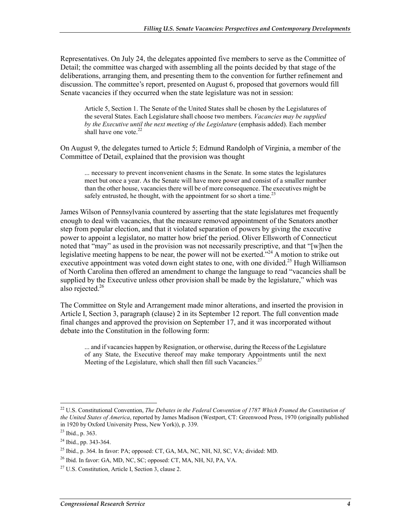Representatives. On July 24, the delegates appointed five members to serve as the Committee of Detail; the committee was charged with assembling all the points decided by that stage of the deliberations, arranging them, and presenting them to the convention for further refinement and discussion. The committee's report, presented on August 6, proposed that governors would fill Senate vacancies if they occurred when the state legislature was not in session:

Article 5, Section 1. The Senate of the United States shall be chosen by the Legislatures of the several States. Each Legislature shall choose two members. *Vacancies may be supplied by the Executive until the next meeting of the Legislature* (emphasis added). Each member shall have one vote. $22$ 

On August 9, the delegates turned to Article 5; Edmund Randolph of Virginia, a member of the Committee of Detail, explained that the provision was thought

... necessary to prevent inconvenient chasms in the Senate. In some states the legislatures meet but once a year. As the Senate will have more power and consist of a smaller number than the other house, vacancies there will be of more consequence. The executives might be safely entrusted, he thought, with the appointment for so short a time.<sup>23</sup>

James Wilson of Pennsylvania countered by asserting that the state legislatures met frequently enough to deal with vacancies, that the measure removed appointment of the Senators another step from popular election, and that it violated separation of powers by giving the executive power to appoint a legislator, no matter how brief the period. Oliver Ellsworth of Connecticut noted that "may" as used in the provision was not necessarily prescriptive, and that "[w]hen the legislative meeting happens to be near, the power will not be exerted. $2^{24}$  A motion to strike out executive appointment was voted down eight states to one, with one divided.<sup>25</sup> Hugh Williamson of North Carolina then offered an amendment to change the language to read "vacancies shall be supplied by the Executive unless other provision shall be made by the legislature," which was also rejected.<sup>26</sup>

The Committee on Style and Arrangement made minor alterations, and inserted the provision in Article I, Section 3, paragraph (clause) 2 in its September 12 report. The full convention made final changes and approved the provision on September 17, and it was incorporated without debate into the Constitution in the following form:

... and if vacancies happen by Resignation, or otherwise, during the Recess of the Legislature of any State, the Executive thereof may make temporary Appointments until the next Meeting of the Legislature, which shall then fill such Vacancies.<sup>2</sup>

<sup>&</sup>lt;sup>22</sup> U.S. Constitutional Convention, *The Debates in the Federal Convention of 1787 Which Framed the Constitution of the United States of America*, reported by James Madison (Westport, CT: Greenwood Press, 1970 (originally published in 1920 by Oxford University Press, New York)), p. 339.

<sup>23</sup> Ibid., p. 363.

<sup>24</sup> Ibid., pp. 343-364.

<sup>25</sup> Ibid., p. 364. In favor: PA; opposed: CT, GA, MA, NC, NH, NJ, SC, VA; divided: MD.

<sup>26</sup> Ibid. In favor: GA, MD, NC, SC; opposed: CT, MA, NH, NJ, PA, VA.

<sup>27</sup> U.S. Constitution, Article I, Section 3, clause 2.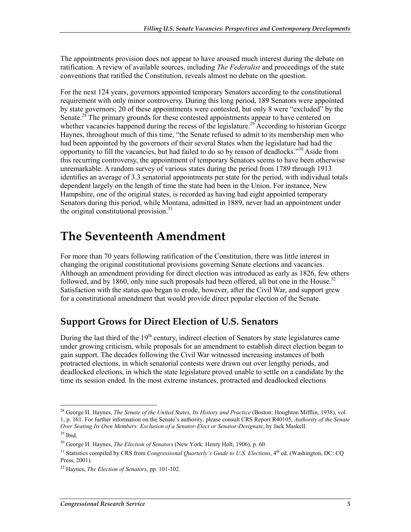The appointments provision does not appear to have aroused much interest during the debate on ratification. A review of available sources, including *The Federalist* and proceedings of the state conventions that ratified the Constitution, reveals almost no debate on the question.

For the next 124 years, governors appointed temporary Senators according to the constitutional requirement with only minor controversy. During this long period, 189 Senators were appointed by state governors; 20 of these appointments were contested, but only 8 were "excluded" by the Senate.<sup>28</sup> The primary grounds for these contested appointments appear to have centered on whether vacancies happened during the recess of the legislature.<sup>29</sup> According to historian George Haynes, throughout much of this time, "the Senate refused to admit to its membership men who had been appointed by the governors of their several States when the legislature had had the opportunity to fill the vacancies, but had failed to do so by reason of deadlocks."<sup>30</sup> Aside from this recurring controversy, the appointment of temporary Senators seems to have been otherwise unremarkable. A random survey of various states during the period from 1789 through 1913 identifies an average of 3.3 senatorial appointments per state for the period, with individual totals dependent largely on the length of time the state had been in the Union. For instance, New Hampshire, one of the original states, is recorded as having had eight appointed temporary Senators during this period, while Montana, admitted in 1889, never had an appointment under the original constitutional provision.<sup>31</sup>

## **The Seventeenth Amendment**

For more than 70 years following ratification of the Constitution, there was little interest in changing the original constitutional provisions governing Senate elections and vacancies. Although an amendment providing for direct election was introduced as early as 1826, few others followed, and by 1860, only nine such proposals had been offered, all but one in the House.<sup>32</sup> Satisfaction with the status quo began to erode, however, after the Civil War, and support grew for a constitutional amendment that would provide direct popular election of the Senate.

### **Support Grows for Direct Election of U.S. Senators**

During the last third of the  $19<sup>th</sup>$  century, indirect election of Senators by state legislatures came under growing criticism, while proposals for an amendment to establish direct election began to gain support. The decades following the Civil War witnessed increasing instances of both protracted elections, in which senatorial contests were drawn out over lengthy periods, and deadlocked elections, in which the state legislature proved unable to settle on a candidate by the time its session ended. In the most extreme instances, protracted and deadlocked elections

<sup>28</sup> George H. Haynes, *The Senate of the United States, Its History and Practice* (Boston: Houghton Mifflin, 1938), vol. 1, p. 161. For further information on the Senate's authority, please consult CRS Report R40105, *Authority of the Senate Over Seating Its Own Members: Exclusion of a Senator-Elect or Senator-Designate*, by Jack Maskell.

 $29$  Ibid.

<sup>30</sup> George H. Haynes, *The Election of Senators* (New York: Henry Holt, 1906), p. 60.

<sup>&</sup>lt;sup>31</sup> Statistics compiled by CRS from *Congressional Quarterly's Guide to U.S. Elections*, 4<sup>th</sup> ed. (Washington, DC: CQ Press, 2001).

<sup>32</sup> Haynes, *The Election of Senators*, pp. 101-102.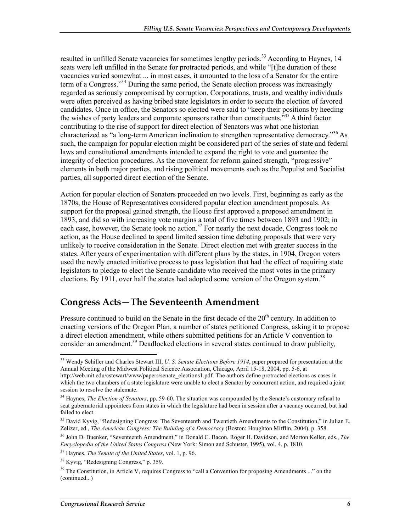resulted in unfilled Senate vacancies for sometimes lengthy periods.<sup>33</sup> According to Haynes, 14 seats were left unfilled in the Senate for protracted periods, and while "[t]he duration of these vacancies varied somewhat ... in most cases, it amounted to the loss of a Senator for the entire term of a Congress.<sup>334</sup> During the same period, the Senate election process was increasingly regarded as seriously compromised by corruption. Corporations, trusts, and wealthy individuals were often perceived as having bribed state legislators in order to secure the election of favored candidates. Once in office, the Senators so elected were said to "keep their positions by heeding the wishes of party leaders and corporate sponsors rather than constituents."<sup>35</sup> A third factor contributing to the rise of support for direct election of Senators was what one historian characterized as "a long-term American inclination to strengthen representative democracy."36 As such, the campaign for popular election might be considered part of the series of state and federal laws and constitutional amendments intended to expand the right to vote and guarantee the integrity of election procedures. As the movement for reform gained strength, "progressive" elements in both major parties, and rising political movements such as the Populist and Socialist parties, all supported direct election of the Senate.

Action for popular election of Senators proceeded on two levels. First, beginning as early as the 1870s, the House of Representatives considered popular election amendment proposals. As support for the proposal gained strength, the House first approved a proposed amendment in 1893, and did so with increasing vote margins a total of five times between 1893 and 1902; in each case, however, the Senate took no action.<sup>37</sup> For nearly the next decade, Congress took no action, as the House declined to spend limited session time debating proposals that were very unlikely to receive consideration in the Senate. Direct election met with greater success in the states. After years of experimentation with different plans by the states, in 1904, Oregon voters used the newly enacted initiative process to pass legislation that had the effect of requiring state legislators to pledge to elect the Senate candidate who received the most votes in the primary elections. By 1911, over half the states had adopted some version of the Oregon system.<sup>38</sup>

### **Congress Acts—The Seventeenth Amendment**

Pressure continued to build on the Senate in the first decade of the 20<sup>th</sup> century. In addition to enacting versions of the Oregon Plan, a number of states petitioned Congress, asking it to propose a direct election amendment, while others submitted petitions for an Article V convention to consider an amendment.<sup>39</sup> Deadlocked elections in several states continued to draw publicity,

<sup>33</sup> Wendy Schiller and Charles Stewart III, *U. S. Senate Elections Before 1914*, paper prepared for presentation at the Annual Meeting of the Midwest Political Science Association, Chicago, April 15-18, 2004, pp. 5-6, at http://web.mit.edu/cstewart/www/papers/senate\_elections1.pdf. The authors define protracted elections as cases in which the two chambers of a state legislature were unable to elect a Senator by concurrent action, and required a joint session to resolve the stalemate.

<sup>34</sup> Haynes, *The Election of Senators*, pp. 59-60. The situation was compounded by the Senate's customary refusal to seat gubernatorial appointees from states in which the legislature had been in session after a vacancy occurred, but had failed to elect.

<sup>&</sup>lt;sup>35</sup> David Kyvig, "Redesigning Congress: The Seventeenth and Twentieth Amendments to the Constitution," in Julian E. Zelizer, ed., *The American Congress: The Building of a Democracy* (Boston: Houghton Mifflin, 2004), p. 358.

<sup>36</sup> John D. Buenker, "Seventeenth Amendment," in Donald C. Bacon, Roger H. Davidson, and Morton Keller, eds., *The Encyclopedia of the United States Congress* (New York: Simon and Schuster, 1995), vol. 4. p. 1810.

<sup>37</sup> Haynes, *The Senate of the United States*, vol. 1, p. 96.

<sup>38</sup> Kyvig, "Redesigning Congress," p. 359.

 $39$  The Constitution, in Article V, requires Congress to "call a Convention for proposing Amendments ..." on the (continued...)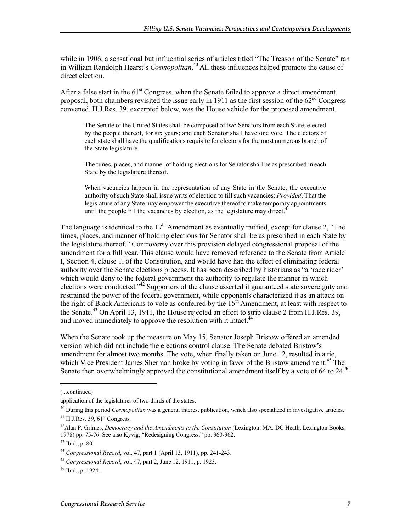while in 1906, a sensational but influential series of articles titled "The Treason of the Senate" ran in William Randolph Hearst's *Cosmopolitan*. 40 All these influences helped promote the cause of direct election.

After a false start in the  $61<sup>st</sup>$  Congress, when the Senate failed to approve a direct amendment proposal, both chambers revisited the issue early in 1911 as the first session of the  $62<sup>nd</sup>$  Congress convened. H.J.Res. 39, excerpted below, was the House vehicle for the proposed amendment.

The Senate of the United States shall be composed of two Senators from each State, elected by the people thereof, for six years; and each Senator shall have one vote. The electors of each state shall have the qualifications requisite for electors for the most numerous branch of the State legislature.

The times, places, and manner of holding elections for Senator shall be as prescribed in each State by the legislature thereof.

When vacancies happen in the representation of any State in the Senate, the executive authority of such State shall issue writs of election to fill such vacancies: *Provided*, That the legislature of any State may empower the executive thereof to make temporary appointments until the people fill the vacancies by election, as the legislature may direct.<sup>4</sup>

The language is identical to the  $17<sup>th</sup>$  Amendment as eventually ratified, except for clause 2, "The times, places, and manner of holding elections for Senator shall be as prescribed in each State by the legislature thereof." Controversy over this provision delayed congressional proposal of the amendment for a full year. This clause would have removed reference to the Senate from Article I, Section 4, clause 1, of the Constitution, and would have had the effect of eliminating federal authority over the Senate elections process. It has been described by historians as "a 'race rider' which would deny to the federal government the authority to regulate the manner in which elections were conducted."<sup>42</sup> Supporters of the clause asserted it guaranteed state sovereignty and restrained the power of the federal government, while opponents characterized it as an attack on the right of Black Americans to vote as conferred by the  $15<sup>th</sup>$  Amendment, at least with respect to the Senate.<sup>43</sup> On April 13, 1911, the House rejected an effort to strip clause 2 from H.J.Res. 39, and moved immediately to approve the resolution with it intact.<sup>44</sup>

When the Senate took up the measure on May 15, Senator Joseph Bristow offered an amended version which did not include the elections control clause. The Senate debated Bristow's amendment for almost two months. The vote, when finally taken on June 12, resulted in a tie, which Vice President James Sherman broke by voting in favor of the Bristow amendment.<sup>45</sup> The Senate then overwhelmingly approved the constitutional amendment itself by a vote of 64 to 24.<sup>46</sup>

<sup>(...</sup>continued)

application of the legislatures of two thirds of the states.

<sup>40</sup> During this period *Cosmopolitan* was a general interest publication, which also specialized in investigative articles.  $^{41}$  H.J.Res. 39, 61<sup>st</sup> Congress.

<sup>&</sup>lt;sup>42</sup>Alan P. Grimes, *Democracy and the Amendments to the Constitution* (Lexington, MA: DC Heath, Lexington Books, 1978) pp. 75-76. See also Kyvig, "Redesigning Congress," pp. 360-362.

<sup>43</sup> Ibid., p. 80.

<sup>44</sup> *Congressional Record*, vol. 47, part 1 (April 13, 1911), pp. 241-243.

<sup>45</sup> *Congressional Record*, vol. 47, part 2, June 12, 1911, p. 1923.

<sup>46</sup> Ibid., p. 1924.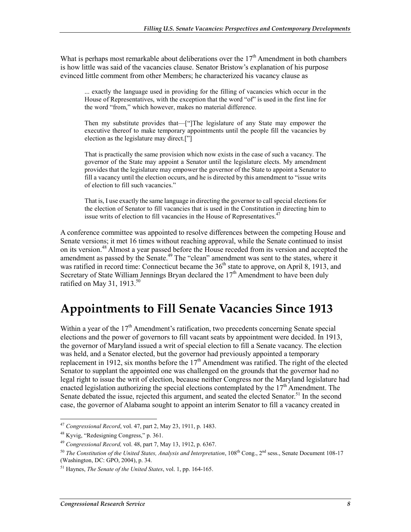What is perhaps most remarkable about deliberations over the  $17<sup>th</sup>$  Amendment in both chambers is how little was said of the vacancies clause. Senator Bristow's explanation of his purpose evinced little comment from other Members; he characterized his vacancy clause as

... exactly the language used in providing for the filling of vacancies which occur in the House of Representatives, with the exception that the word "of" is used in the first line for the word "from," which however, makes no material difference.

Then my substitute provides that—["]The legislature of any State may empower the executive thereof to make temporary appointments until the people fill the vacancies by election as the legislature may direct.["]

That is practically the same provision which now exists in the case of such a vacancy. The governor of the State may appoint a Senator until the legislature elects. My amendment provides that the legislature may empower the governor of the State to appoint a Senator to fill a vacancy until the election occurs, and he is directed by this amendment to "issue writs of election to fill such vacancies."

That is, I use exactly the same language in directing the governor to call special elections for the election of Senator to fill vacancies that is used in the Constitution in directing him to issue writs of election to fill vacancies in the House of Representatives.<sup>47</sup>

A conference committee was appointed to resolve differences between the competing House and Senate versions; it met 16 times without reaching approval, while the Senate continued to insist on its version.<sup>48</sup> Almost a year passed before the House receded from its version and accepted the amendment as passed by the Senate.<sup>49</sup> The "clean" amendment was sent to the states, where it was ratified in record time: Connecticut became the  $36<sup>th</sup>$  state to approve, on April 8, 1913, and Secretary of State William Jennings Bryan declared the 17<sup>th</sup> Amendment to have been duly ratified on May 31, 1913. $50$ 

### **Appointments to Fill Senate Vacancies Since 1913**

Within a year of the  $17<sup>th</sup>$  Amendment's ratification, two precedents concerning Senate special elections and the power of governors to fill vacant seats by appointment were decided. In 1913, the governor of Maryland issued a writ of special election to fill a Senate vacancy. The election was held, and a Senator elected, but the governor had previously appointed a temporary replacement in 1912, six months before the  $17<sup>th</sup>$  Amendment was ratified. The right of the elected Senator to supplant the appointed one was challenged on the grounds that the governor had no legal right to issue the writ of election, because neither Congress nor the Maryland legislature had enacted legislation authorizing the special elections contemplated by the  $17<sup>th</sup>$  Amendment. The Senate debated the issue, rejected this argument, and seated the elected Senator.<sup>51</sup> In the second case, the governor of Alabama sought to appoint an interim Senator to fill a vacancy created in

<sup>1</sup> <sup>47</sup> *Congressional Record*, vol. 47, part 2, May 23, 1911, p. 1483.

<sup>48</sup> Kyvig, "Redesigning Congress," p. 361.

<sup>49</sup> *Congressional Record,* vol. 48, part 7, May 13, 1912, p. 6367.

<sup>&</sup>lt;sup>50</sup> *The Constitution of the United States, Analysis and Interpretation*, 108<sup>th</sup> Cong., 2<sup>nd</sup> sess., Senate Document 108-17 (Washington, DC: GPO, 2004), p. 34.

<sup>51</sup> Haynes, *The Senate of the United States*, vol. 1, pp. 164-165.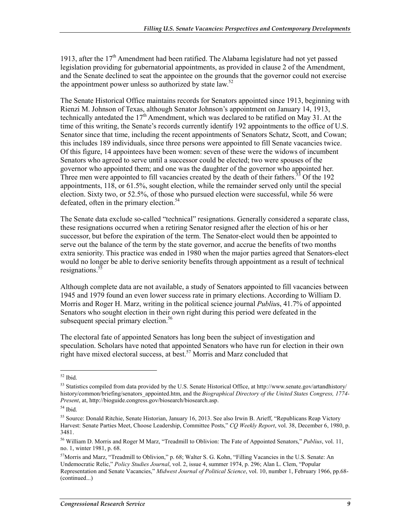1913, after the  $17<sup>th</sup>$  Amendment had been ratified. The Alabama legislature had not yet passed legislation providing for gubernatorial appointments, as provided in clause 2 of the Amendment, and the Senate declined to seat the appointee on the grounds that the governor could not exercise the appointment power unless so authorized by state law.<sup>52</sup>

The Senate Historical Office maintains records for Senators appointed since 1913, beginning with Rienzi M. Johnson of Texas, although Senator Johnson's appointment on January 14, 1913, technically antedated the  $17<sup>th</sup>$  Amendment, which was declared to be ratified on May 31. At the time of this writing, the Senate's records currently identify 192 appointments to the office of U.S. Senator since that time, including the recent appointments of Senators Schatz, Scott, and Cowan; this includes 189 individuals, since three persons were appointed to fill Senate vacancies twice. Of this figure, 14 appointees have been women: seven of these were the widows of incumbent Senators who agreed to serve until a successor could be elected; two were spouses of the governor who appointed them; and one was the daughter of the governor who appointed her. Three men were appointed to fill vacancies created by the death of their fathers.<sup>53</sup> Of the 192 appointments, 118, or 61.5%, sought election, while the remainder served only until the special election. Sixty two, or 52.5%, of those who pursued election were successful, while 56 were defeated, often in the primary election.<sup>54</sup>

The Senate data exclude so-called "technical" resignations. Generally considered a separate class, these resignations occurred when a retiring Senator resigned after the election of his or her successor, but before the expiration of the term. The Senator-elect would then be appointed to serve out the balance of the term by the state governor, and accrue the benefits of two months extra seniority. This practice was ended in 1980 when the major parties agreed that Senators-elect would no longer be able to derive seniority benefits through appointment as a result of technical resignations. $5\overline{5}$ 

Although complete data are not available, a study of Senators appointed to fill vacancies between 1945 and 1979 found an even lower success rate in primary elections. According to William D. Morris and Roger H. Marz, writing in the political science journal *Publiu*s, 41.7% of appointed Senators who sought election in their own right during this period were defeated in the subsequent special primary election. $56$ 

The electoral fate of appointed Senators has long been the subject of investigation and speculation. Scholars have noted that appointed Senators who have run for election in their own right have mixed electoral success, at best.<sup>57</sup> Morris and Marz concluded that

<sup>&</sup>lt;u>.</u>  $52$  Ibid.

<sup>53</sup> Statistics compiled from data provided by the U.S. Senate Historical Office, at http://www.senate.gov/artandhistory/ history/common/briefing/senators\_appointed.htm, and the *Biographical Directory of the United States Congress, 1774-Present*, at, http://bioguide.congress.gov/biosearch/biosearch.asp.

<sup>54</sup> Ibid.

<sup>55</sup> Source: Donald Ritchie, Senate Historian, January 16, 2013. See also Irwin B. Arieff, "Republicans Reap Victory Harvest: Senate Parties Meet, Choose Leadership, Committee Posts," *CQ Weekly Report*, vol. 38, December 6, 1980, p. 3481.

<sup>56</sup> William D. Morris and Roger M Marz, "Treadmill to Oblivion: The Fate of Appointed Senators," *Publius*, vol. 11, no. 1, winter 1981, p. 68.

<sup>57</sup>Morris and Marz, "Treadmill to Oblivion," p. 68; Walter S. G. Kohn, "Filling Vacancies in the U.S. Senate: An Undemocratic Relic," *Policy Studies Journal*, vol. 2, issue 4, summer 1974, p. 296; Alan L. Clem, "Popular Representation and Senate Vacancies," *Midwest Journal of Political Science*, vol. 10, number 1, February 1966, pp.68- (continued...)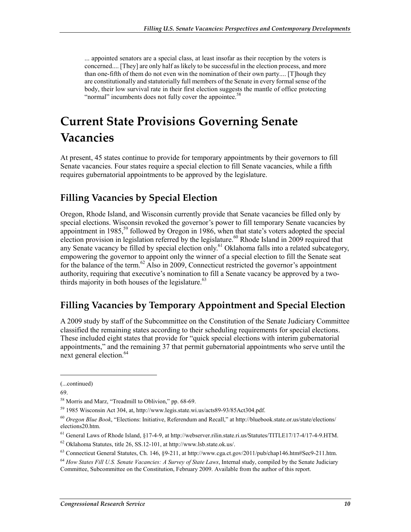... appointed senators are a special class, at least insofar as their reception by the voters is concerned.... [They] are only half as likely to be successful in the election process, and more than one-fifth of them do not even win the nomination of their own party.... [T]hough they are constitutionally and statutorially full members of the Senate in every formal sense of the body, their low survival rate in their first election suggests the mantle of office protecting "normal" incumbents does not fully cover the appointee.<sup>58</sup>

## **Current State Provisions Governing Senate Vacancies**

At present, 45 states continue to provide for temporary appointments by their governors to fill Senate vacancies. Four states require a special election to fill Senate vacancies, while a fifth requires gubernatorial appointments to be approved by the legislature.

### **Filling Vacancies by Special Election**

Oregon, Rhode Island, and Wisconsin currently provide that Senate vacancies be filled only by special elections. Wisconsin revoked the governor's power to fill temporary Senate vacancies by appointment in 1985,<sup>59</sup> followed by Oregon in 1986, when that state's voters adopted the special election provision in legislation referred by the legislature.<sup>60</sup> Rhode Island in 2009 required that any Senate vacancy be filled by special election only.<sup>61</sup> Oklahoma falls into a related subcategory, empowering the governor to appoint only the winner of a special election to fill the Senate seat for the balance of the term.<sup>62</sup> Also in 2009, Connecticut restricted the governor's appointment authority, requiring that executive's nomination to fill a Senate vacancy be approved by a twothirds majority in both houses of the legislature. $63$ 

### **Filling Vacancies by Temporary Appointment and Special Election**

A 2009 study by staff of the Subcommittee on the Constitution of the Senate Judiciary Committee classified the remaining states according to their scheduling requirements for special elections. These included eight states that provide for "quick special elections with interim gubernatorial appointments," and the remaining 37 that permit gubernatorial appointments who serve until the next general election.<sup>64</sup>

 $\overline{\phantom{a}}$ 

<sup>(...</sup>continued)

<sup>69.</sup> 

<sup>58</sup> Morris and Marz, "Treadmill to Oblivion," pp. 68-69.

<sup>59 1985</sup> Wisconsin Act 304, at, http://www.legis.state.wi.us/acts89-93/85Act304.pdf.

<sup>60</sup> *Oregon Blue Book*, "Elections: Initiative, Referendum and Recall," at http://bluebook.state.or.us/state/elections/ elections20.htm.

<sup>61</sup> General Laws of Rhode Island, §17-4-9, at http://webserver.rilin.state.ri.us/Statutes/TITLE17/17-4/17-4-9.HTM.

<sup>62</sup> Oklahoma Statutes, title 26, SS.12-101, at http://www.lsb.state.ok.us/.

<sup>63</sup> Connecticut General Statutes, Ch. 146, §9-211, at http://www.cga.ct.gov/2011/pub/chap146.htm#Sec9-211.htm.

<sup>64</sup> *How States Fill U.S. Senate Vacancies: A Survey of State Laws*, Internal study, compiled by the Senate Judiciary Committee, Subcommittee on the Constitution, February 2009. Available from the author of this report.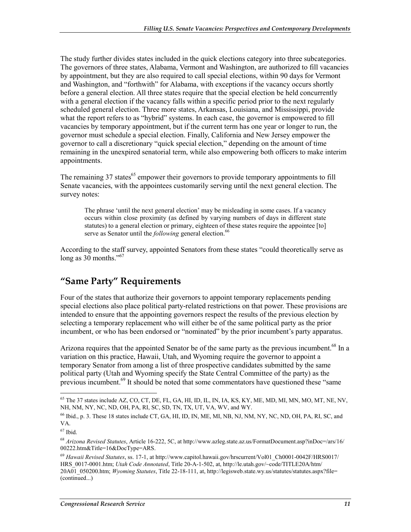The study further divides states included in the quick elections category into three subcategories. The governors of three states, Alabama, Vermont and Washington, are authorized to fill vacancies by appointment, but they are also required to call special elections, within 90 days for Vermont and Washington, and "forthwith" for Alabama, with exceptions if the vacancy occurs shortly before a general election. All three states require that the special election be held concurrently with a general election if the vacancy falls within a specific period prior to the next regularly scheduled general election. Three more states, Arkansas, Louisiana, and Mississippi, provide what the report refers to as "hybrid" systems. In each case, the governor is empowered to fill vacancies by temporary appointment, but if the current term has one year or longer to run, the governor must schedule a special election. Finally, California and New Jersey empower the governor to call a discretionary "quick special election," depending on the amount of time remaining in the unexpired senatorial term, while also empowering both officers to make interim appointments.

The remaining  $37$  states<sup>65</sup> empower their governors to provide temporary appointments to fill Senate vacancies, with the appointees customarily serving until the next general election. The survey notes:

The phrase 'until the next general election' may be misleading in some cases. If a vacancy occurs within close proximity (as defined by varying numbers of days in different state statutes) to a general election or primary, eighteen of these states require the appointee [to] serve as Senator until the *following* general election.<sup>66</sup>

According to the staff survey, appointed Senators from these states "could theoretically serve as long as 30 months."<sup>67</sup>

### **"Same Party" Requirements**

Four of the states that authorize their governors to appoint temporary replacements pending special elections also place political party-related restrictions on that power. These provisions are intended to ensure that the appointing governors respect the results of the previous election by selecting a temporary replacement who will either be of the same political party as the prior incumbent, or who has been endorsed or "nominated" by the prior incumbent's party apparatus.

Arizona requires that the appointed Senator be of the same party as the previous incumbent.<sup>68</sup> In a variation on this practice, Hawaii, Utah, and Wyoming require the governor to appoint a temporary Senator from among a list of three prospective candidates submitted by the same political party (Utah and Wyoming specify the State Central Committee of the party) as the previous incumbent.<sup>69</sup> It should be noted that some commentators have questioned these "same

<sup>&</sup>lt;sup>65</sup> The 37 states include AZ, CO, CT, DE, FL, GA, HI, ID, IL, IN, IA, KS, KY, ME, MD, MI, MN, MO, MT, NE, NV, NH, NM, NY, NC, ND, OH, PA, RI, SC, SD, TN, TX, UT, VA, WV, and WY.

<sup>66</sup> Ibid., p. 3. These 18 states include CT, GA, HI, ID, IN, ME, MI, NB, NJ, NM, NY, NC, ND, OH, PA, RI, SC, and VA.

<sup>67</sup> Ibid.

<sup>68</sup> *Arizona Revised Statutes*, Article 16-222, 5C, at http://www.azleg.state.az.us/FormatDocument.asp?inDoc=/ars/16/ 00222.htm&Title=16&DocType=ARS.

<sup>69</sup> *Hawaii Revised Statutes*, ss. 17-1, at http://www.capitol.hawaii.gov/hrscurrent/Vol01\_Ch0001-0042F/HRS0017/ HRS\_0017-0001.htm; *Utah Code Annotated*, Title 20-A-1-502, at, http://le.utah.gov/~code/TITLE20A/htm/ 20A01\_050200.htm; *Wyoming Statutes*, Title 22-18-111, at, http://legisweb.state.wy.us/statutes/statutes.aspx?file= (continued...)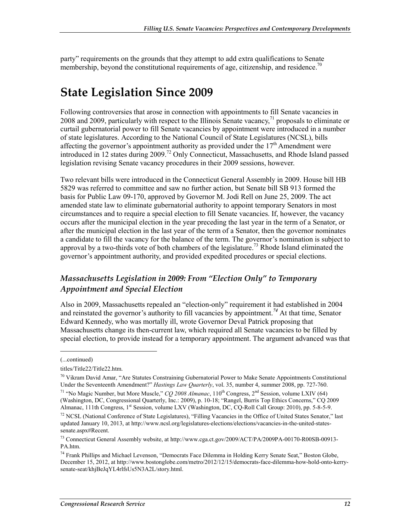party" requirements on the grounds that they attempt to add extra qualifications to Senate membership, beyond the constitutional requirements of age, citizenship, and residence.<sup>70</sup>

## **State Legislation Since 2009**

Following controversies that arose in connection with appointments to fill Senate vacancies in 2008 and 2009, particularly with respect to the Illinois Senate vacancy,<sup>71</sup> proposals to eliminate or curtail gubernatorial power to fill Senate vacancies by appointment were introduced in a number of state legislatures. According to the National Council of State Legislatures (NCSL), bills affecting the governor's appointment authority as provided under the  $17<sup>th</sup>$  Amendment were introduced in 12 states during 2009.72 Only Connecticut, Massachusetts, and Rhode Island passed legislation revising Senate vacancy procedures in their 2009 sessions, however.

Two relevant bills were introduced in the Connecticut General Assembly in 2009. House bill HB 5829 was referred to committee and saw no further action, but Senate bill SB 913 formed the basis for Public Law 09-170, approved by Governor M. Jodi Rell on June 25, 2009. The act amended state law to eliminate gubernatorial authority to appoint temporary Senators in most circumstances and to require a special election to fill Senate vacancies. If, however, the vacancy occurs after the municipal election in the year preceding the last year in the term of a Senator, or after the municipal election in the last year of the term of a Senator, then the governor nominates a candidate to fill the vacancy for the balance of the term. The governor's nomination is subject to approval by a two-thirds vote of both chambers of the legislature.<sup>73</sup> Rhode Island eliminated the governor's appointment authority, and provided expedited procedures or special elections.

#### *Massachusetts Legislation in 2009: From "Election Only" to Temporary Appointment and Special Election*

Also in 2009, Massachusetts repealed an "election-only" requirement it had established in 2004 and reinstated the governor's authority to fill vacancies by appointment.*<sup>74</sup>* At that time, Senator Edward Kennedy, who was mortally ill, wrote Governor Deval Patrick proposing that Massachusetts change its then-current law, which required all Senate vacancies to be filled by special election, to provide instead for a temporary appointment. The argument advanced was that

<sup>(...</sup>continued)

titles/Title22/Title22.htm.

 $70$  Vikram David Amar, "Are Statutes Constraining Gubernatorial Power to Make Senate Appointments Constitutional Under the Seventeenth Amendment?" *Hastings Law Quarterly*, vol. 35, number 4, summer 2008, pp. 727-760. <sup>71</sup> "No Magic Number, but More Muscle," *CO 2008 Almanac*, 110<sup>th</sup> Congress, 2<sup>nd</sup> Session, volume LXIV (64) (Washington, DC, Congressional Quarterly, Inc.: 2009), p. 10-18; "Rangel, Burris Top Ethics Concerns," CQ 2009

Almanac, 111th Congress, 1<sup>st</sup> Session, volume LXV (Washington, DC, CQ-Roll Call Group: 2010), pp. 5-8-5-9.

<sup>72</sup> NCSL (National Conference of State Legislatures), "Filling Vacancies in the Office of United States Senator," last updated January 10, 2013, at http://www.ncsl.org/legislatures-elections/elections/vacancies-in-the-united-statessenate.aspx#Recent.

<sup>73</sup> Connecticut General Assembly website, at http://www.cga.ct.gov/2009/ACT/PA/2009PA-00170-R00SB-00913- PA.htm.

<sup>74</sup> Frank Phillips and Michael Levenson, "Democrats Face Dilemma in Holding Kerry Senate Seat," Boston Globe, December 15, 2012, at http://www.bostonglobe.com/metro/2012/12/15/democrats-face-dilemma-how-hold-onto-kerrysenate-seat/khjBeJqYL4rlfsUs5N3A2L/story.html.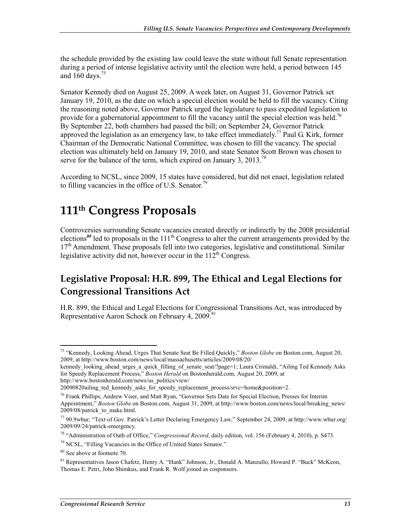the schedule provided by the existing law could leave the state without full Senate representation during a period of intense legislative activity until the election were held, a period between 145 and  $160$  days.<sup>75</sup>

Senator Kennedy died on August 25, 2009. A week later, on August 31, Governor Patrick set January 19, 2010, as the date on which a special election would be held to fill the vacancy. Citing the reasoning noted above, Governor Patrick urged the legislature to pass expedited legislation to provide for a gubernatorial appointment to fill the vacancy until the special election was held.<sup>76</sup> By September 22, both chambers had passed the bill; on September 24, Governor Patrick approved the legislation as an emergency law, to take effect immediately.<sup>77</sup> Paul G. Kirk, former Chairman of the Democratic National Committee, was chosen to fill the vacancy. The special election was ultimately held on January 19, 2010, and state Senator Scott Brown was chosen to serve for the balance of the term, which expired on January 3, 2013.<sup>78</sup>

According to NCSL, since 2009, 15 states have considered, but did not enact, legislation related to filling vacancies in the office of U.S. Senator.<sup>79</sup>

### **111th Congress Proposals**

Controversies surrounding Senate vacancies created directly or indirectly by the 2008 presidential elections<sup>80</sup> led to proposals in the 111<sup>th</sup> Congress to alter the current arrangements provided by the 17<sup>th</sup> Amendment. These proposals fell into two categories, legislative and constitutional. Similar legislative activity did not, however occur in the  $112<sup>th</sup>$  Congress.

### **Legislative Proposal: H.R. 899, The Ethical and Legal Elections for Congressional Transitions Act**

H.R. 899, the Ethical and Legal Elections for Congressional Transitions Act, was introduced by Representative Aaron Schock on February 4, 2009.<sup>81</sup>

<sup>&</sup>lt;u>.</u> 75 "Kennedy, Looking Ahead, Urges That Senate Seat Be Filled Quickly," *Boston Globe* on Boston.com, August 20, 2009, at http://www.boston.com/news/local/massachusetts/articles/2009/08/20/

kennedy\_looking\_ahead\_urges\_a\_quick\_filling\_of\_senate\_seat/?page=1; Laura Crimaldi, "Ailing Ted Kennedy Asks for Speedy Replacement Process," *Boston Herald* on Bostonherald.com, August 20, 2009, at http://www.bostonherald.com/news/us\_politics/view/

<sup>20090820</sup>ailing ted kennedy asks for speedy replacement process/srvc=home&position=2.

<sup>&</sup>lt;sup>76</sup> Frank Phillips, Andrew Viser, and Matt Ryan, "Governor Sets Date for Special Election, Presses for Interim Appointment," *Boston Globe* on Boston.com, August 31, 2009, at http://www.boston.com/news/local/breaking\_news/ 2009/08/patrick\_to\_make.html.

<sup>77 90.9</sup>wbur, "Text of Gov. Patrick's Letter Declaring Emergency Law," September 24, 2009, at http://www.wbur.org/ 2009/09/24/patrick-emergency.

<sup>78 &</sup>quot;Administration of Oath of Office," *Congressional Record*, daily edition, vol. 156 (February 4, 2010), p. S473.

<sup>79</sup> NCSL, "Filling Vacancies in the Office of United States Senator."

<sup>80</sup> See above at footnote 70.

<sup>81</sup> Representatives Jason Chafetz, Henry A. "Hank" Johnson, Jr., Donald A. Manzullo, Howard P. "Buck" McKeon, Thomas E. Petri, John Shimkus, and Frank R. Wolf joined as cosponsors.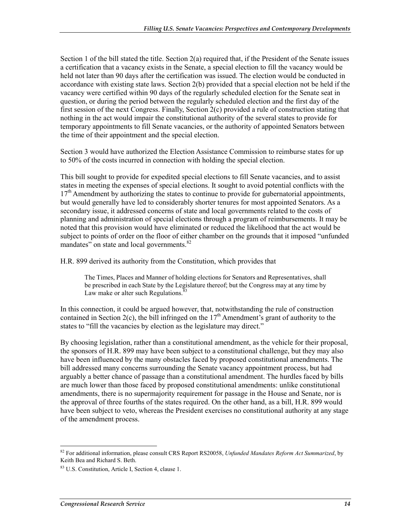Section 1 of the bill stated the title. Section 2(a) required that, if the President of the Senate issues a certification that a vacancy exists in the Senate, a special election to fill the vacancy would be held not later than 90 days after the certification was issued. The election would be conducted in accordance with existing state laws. Section 2(b) provided that a special election not be held if the vacancy were certified within 90 days of the regularly scheduled election for the Senate seat in question, or during the period between the regularly scheduled election and the first day of the first session of the next Congress. Finally, Section 2(c) provided a rule of construction stating that nothing in the act would impair the constitutional authority of the several states to provide for temporary appointments to fill Senate vacancies, or the authority of appointed Senators between the time of their appointment and the special election.

Section 3 would have authorized the Election Assistance Commission to reimburse states for up to 50% of the costs incurred in connection with holding the special election.

This bill sought to provide for expedited special elections to fill Senate vacancies, and to assist states in meeting the expenses of special elections. It sought to avoid potential conflicts with the  $17<sup>th</sup>$  Amendment by authorizing the states to continue to provide for gubernatorial appointments, but would generally have led to considerably shorter tenures for most appointed Senators. As a secondary issue, it addressed concerns of state and local governments related to the costs of planning and administration of special elections through a program of reimbursements. It may be noted that this provision would have eliminated or reduced the likelihood that the act would be subject to points of order on the floor of either chamber on the grounds that it imposed "unfunded mandates" on state and local governments.<sup>82</sup>

H.R. 899 derived its authority from the Constitution, which provides that

The Times, Places and Manner of holding elections for Senators and Representatives, shall be prescribed in each State by the Legislature thereof; but the Congress may at any time by Law make or alter such Regulations. $83$ 

In this connection, it could be argued however, that, notwithstanding the rule of construction contained in Section 2(c), the bill infringed on the  $17<sup>th</sup>$  Amendment's grant of authority to the states to "fill the vacancies by election as the legislature may direct."

By choosing legislation, rather than a constitutional amendment, as the vehicle for their proposal, the sponsors of H.R. 899 may have been subject to a constitutional challenge, but they may also have been influenced by the many obstacles faced by proposed constitutional amendments. The bill addressed many concerns surrounding the Senate vacancy appointment process, but had arguably a better chance of passage than a constitutional amendment. The hurdles faced by bills are much lower than those faced by proposed constitutional amendments: unlike constitutional amendments, there is no supermajority requirement for passage in the House and Senate, nor is the approval of three fourths of the states required. On the other hand, as a bill, H.R. 899 would have been subject to veto, whereas the President exercises no constitutional authority at any stage of the amendment process.

<sup>82</sup> For additional information, please consult CRS Report RS20058, *Unfunded Mandates Reform Act Summarized*, by Keith Bea and Richard S. Beth.

<sup>83</sup> U.S. Constitution, Article I, Section 4, clause 1.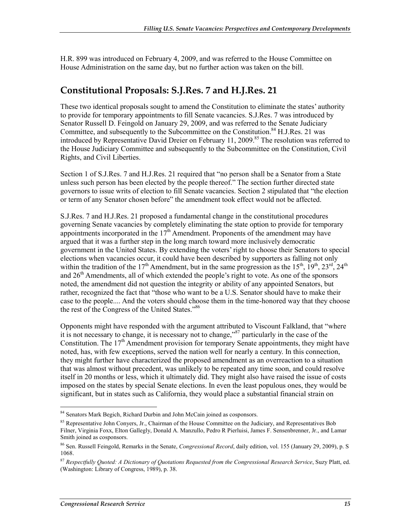H.R. 899 was introduced on February 4, 2009, and was referred to the House Committee on House Administration on the same day, but no further action was taken on the bill.

#### **Constitutional Proposals: S.J.Res. 7 and H.J.Res. 21**

These two identical proposals sought to amend the Constitution to eliminate the states' authority to provide for temporary appointments to fill Senate vacancies. S.J.Res. 7 was introduced by Senator Russell D. Feingold on January 29, 2009, and was referred to the Senate Judiciary Committee, and subsequently to the Subcommittee on the Constitution.<sup>84</sup> H.J.Res. 21 was introduced by Representative David Dreier on February 11, 2009.<sup>85</sup> The resolution was referred to the House Judiciary Committee and subsequently to the Subcommittee on the Constitution, Civil Rights, and Civil Liberties.

Section 1 of S.J.Res. 7 and H.J.Res. 21 required that "no person shall be a Senator from a State unless such person has been elected by the people thereof." The section further directed state governors to issue writs of election to fill Senate vacancies. Section 2 stipulated that "the election or term of any Senator chosen before" the amendment took effect would not be affected.

S.J.Res. 7 and H.J.Res. 21 proposed a fundamental change in the constitutional procedures governing Senate vacancies by completely eliminating the state option to provide for temporary appointments incorporated in the  $17<sup>th</sup>$  Amendment. Proponents of the amendment may have argued that it was a further step in the long march toward more inclusively democratic government in the United States. By extending the voters' right to choose their Senators to special elections when vacancies occur, it could have been described by supporters as falling not only within the tradition of the 17<sup>th</sup> Amendment, but in the same progression as the 15<sup>th</sup>, 19<sup>th</sup>, 23<sup>rd</sup>, 24<sup>th</sup> and  $26<sup>th</sup>$  Amendments, all of which extended the people's right to vote. As one of the sponsors noted, the amendment did not question the integrity or ability of any appointed Senators, but rather, recognized the fact that "those who want to be a U.S. Senator should have to make their case to the people.... And the voters should choose them in the time-honored way that they choose the rest of the Congress of the United States."<sup>86</sup>

Opponents might have responded with the argument attributed to Viscount Falkland, that "where it is not necessary to change, it is necessary not to change,<sup>387</sup> particularly in the case of the Constitution. The  $17<sup>th</sup>$  Amendment provision for temporary Senate appointments, they might have noted, has, with few exceptions, served the nation well for nearly a century. In this connection, they might further have characterized the proposed amendment as an overreaction to a situation that was almost without precedent, was unlikely to be repeated any time soon, and could resolve itself in 20 months or less, which it ultimately did. They might also have raised the issue of costs imposed on the states by special Senate elections. In even the least populous ones, they would be significant, but in states such as California, they would place a substantial financial strain on

<sup>84</sup> Senators Mark Begich, Richard Durbin and John McCain joined as cosponsors.

<sup>&</sup>lt;sup>85</sup> Representative John Conyers, Jr., Chairman of the House Committee on the Judiciary, and Representatives Bob Filner, Virginia Foxx, Elton Gallegly, Donald A. Manzullo, Pedro R Pierluisi, James F. Sensenbrenner, Jr., and Lamar Smith joined as cosponsors.

<sup>86</sup> Sen. Russell Feingold, Remarks in the Senate, *Congressional Record*, daily edition, vol. 155 (January 29, 2009), p. S 1068.

<sup>87</sup> *Respectfully Quoted: A Dictionary of Quotations Requested from the Congressional Research Service*, Suzy Platt, ed. (Washington: Library of Congress, 1989), p. 38.